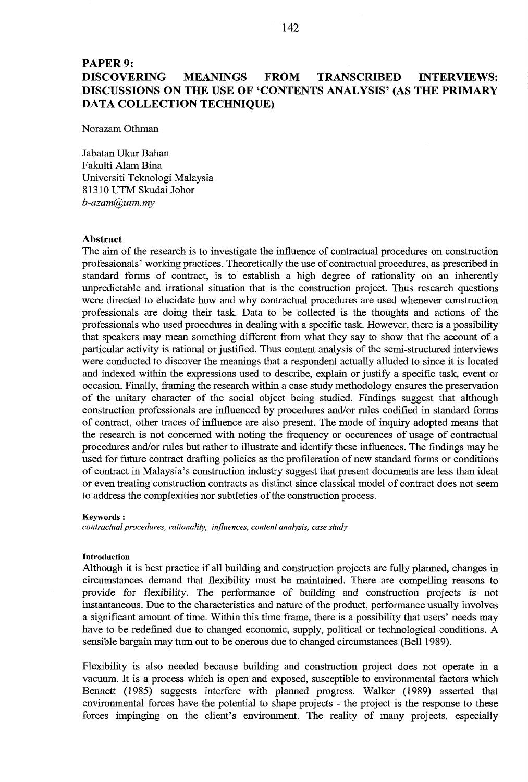# **PAPER 9: DISCOVERING MEANINGS FROM TRANSCRIBED INTERVIEWS: DISCUSSIONS ON THE USE OF 'CONTENTS ANALYSIS' (AS THE PRIMARY DATA COLLECTION TECHNIQUE)**

Norazam Othman

Jabatan **Ukur** Bahan Fakulti Alam Bina Universiti Teknologi Malaysia 8 13 10 UTM Skudai Johor *b-azarn@utm. my* 

#### **Abstract**

The aim of the research is to investigate the influence of contractual procedures on construction professionals' working practices. Theoretically the use of contractual procedures, as prescribed in standard forms of contract, is to establish a high degree of rationality on an inherently unpredictable and irrational situation that is the construction project. Thus research questions were directed to elucidate how and why contractual procedures are used whenever construction professionals are doing their task. Data to be collected is the thoughts and actions of the professionals who used procedures in dealing with a specific task. However, there is a possibility that speakers may mean something different from what they say to show that the account of a particular activity is rational or justified. Thus content analysis of the semi-structured interviews were conducted to discover the meanings that a respondent actually alluded to since it is located and indexed within the expressions used to describe, explain or justify a specific task, event or occasion. Finally, framing the research within a case study methodology ensures the preservation of the unitary character of the social object being studied. Findings suggest that although construction professionals are influenced by procedures and/or rules codified in standard forms of contract, other traces of influence are also present. The mode of inquiry adopted means that the research is not concerned with noting the frequency or occurences of usage of contractual procedures and/or rules but rather to illustrate and identify these influences. The findings may be used for future contract drafting policies as the profileration of new standard forms or conditions of contract in Malaysia's construction industry suggest that present documents are less than ideal or even treating construction contracts as distinct since classical model of contract does not seem to address the complexities nor subtleties of the construction process.

#### **Keywords** :

*contractual procedures, rationality, influences, content analysis, case study* 

#### **Introduction**

Although it is best practice if all building and construction projects are hlly planned, changes in circumstances demand that flexibility must be maintained. There are compelling reasons to provide for flexibility. The performance of building and construction projects is not instantaneous. Due to the characteristics and nature of the product, performance usually involves a significant amount of time. Within this time frame, there is a possibility that users' needs may have to be redefined due to changed economic, supply, political or technological conditions. A sensible bargain may turn out to be onerous due to changed circumstances (Bell 1989).

Flexibility is also needed because building and construction project does not operate in a vacuum. It is a process which is open and exposed, susceptible to environmental factors which Bennett (1985) suggests interfere with planned progress. Walker (1989) asserted that environmental forces have the potential to shape projects - the project is the response to these forces impinging on the client's environment. The reality of many projects, especially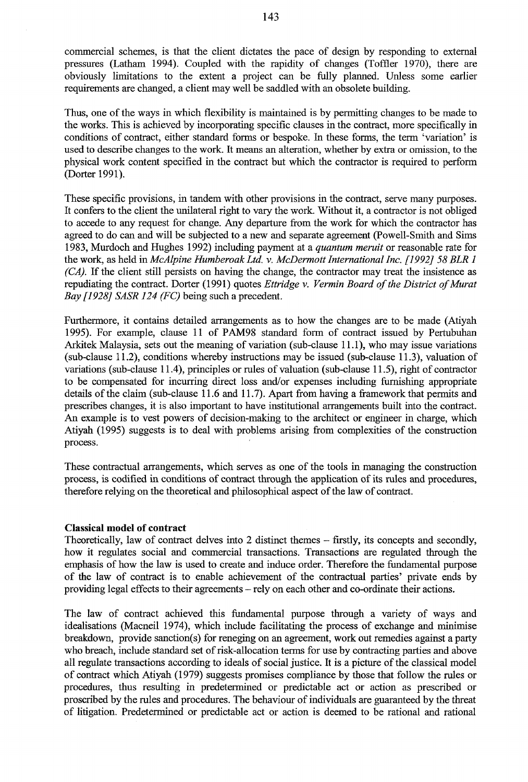commercial schemes, is that the client dictates the pace of design by responding to external pressures (Latham 1994). Coupled with the rapidity of changes (Toffler 1970), there are obviously limitations to the extent a project can be fully planned. Unless some earlier requirements are changed, a client may well be saddled with an obsolete building.

Thus, one of the ways in which flexibility is maintained is by permitting changes to be made to the works. This is achieved by incorporating specific clauses in the contract, more specifically in conditions of contract, either standard forms or bespoke. In these forms, the term 'variation' is used to describe changes to the work. It means an alteration, whether by extra or omission, to the physical work content specified in the contract but which the contractor is required to perform (Dorter 1991).

These specific provisions, in tandem with other provisions in the contract, serve many purposes. It confers to the client the unilateral right to vary the work. Without it, a contractor is not obliged to accede to any request for change. Any departure from the work for which the contractor has agreed to do can and will be subjected to a new and separate agreement (Powell-Smith and Sims 1983, Murdoch and Hughes 1992) including payment at a *quantum meruit* or reasonable rate for the work, as held in McAlpine Humberoak Ltd. v. McDermott International Inc. [1992] 58 BLR 1 (CA). If the client still persists on having the change, the contractor may treat the insistence as repudiating the contract. Dorter (1991) quotes *Ettridge v. Vermin Board of the District of Murat* Bay [1928] SASR 124 (FC) being such a precedent.

Furthermore, it contains detailed arrangements as to how the changes are to be made (Atiyah 1995). For example, clause 11 of PAM98 standard form of contract issued by Pertubuhan Arkitek Malaysia, sets out the meaning of variation (sub-clause 11.1), who may issue variations (sub-clause 11.2), conditions whereby instructions may be issued (sub-clause 11.3), valuation of variations (sub-clause 11.4), principles or rules of valuation (sub-clause 11.5), right of contractor to be compensated for incurring direct loss and/or expenses including furnishing appropriate details of the claim (sub-clause 11.6 and 11.7). Apart from having a framework that permits and prescribes changes, it is also important to have institutional arrangements built into the contract. An example is to vest powers of decision-making to the architect or engineer in charge, which Atiyah (1995) suggests is to deal with problems arising from complexities of the construction process.

These contractual arrangements, which serves as one of the tools in managing the construction process, is codified in conditions of contract through the application of its rules and procedures, therefore relying on the theoretical and philosophical aspect of the law of contract.

## **Classical model of contract**

Theoretically, law of contract delves into 2 distinct themes – firstly, its concepts and secondly, how it regulates social and commercial transactions. Transactions are regulated through the emphasis of how the law is used to create and induce order. Therefore the fundamental purpose of the law of contract is to enable achievement of the contractual parties' private ends by providing legal effects to their agreements – rely on each other and co-ordinate their actions.

The law of contract achieved this fundamental purpose through a variety of ways and idealisations (Macneil 1974), which include facilitating the process of exchange and minimise breakdown, provide sanction(s) for reneging on an agreement, work out remedies against a party who breach, include standard set of risk-allocation terms for use by contracting parties and above all regulate transactions according to ideals of social justice. It is a picture of the classical model of contract which Atiyah (1979) suggests promises compliance by those that follow the rules or procedures, thus resulting in predetermined or predictable act or action as prescribed or proscribed by the rules and procedures. The behaviour of individuals are guaranteed by the threat of litigation. Predetermined or predictable act or action is deemed to be rational and rational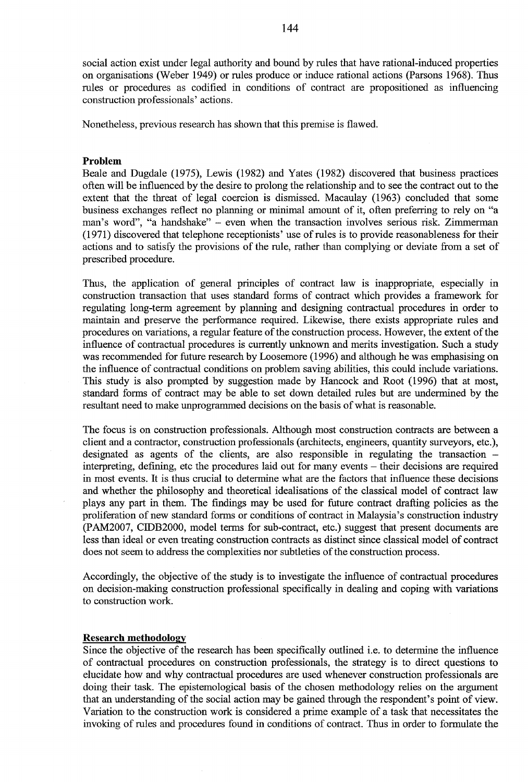social action exist under legal authority and bound by rules that have rational-induced properties on organisations (Weber 1949) or rules produce or induce rational actions (Parsons 1968). Thus rules or procedures as codified in conditions of contract are propositioned as influencing construction professionals' actions.

Nonetheless, previous research has shown that this premise is flawed.

# Problem

Beale and Dugdale (1975), Lewis (1982) and Yates (1982) discovered that business practices often will be influenced by the desire to prolong the relationship and to see the contract out to the extent that the threat of legal coercion is dismissed. Macaulay (1963) concluded that some business exchanges reflect no planning or minimal amount of it, often preferring to rely on "a man's word", "a handshake" - even when the transaction involves serious risk. Zimmerman (1971) discovered that telephone receptionists' use of rules is to provide reasonableness for their actions and to satisfy the provisions of the rule, rather than complying or deviate from a set of prescribed procedure.

Thus, the application of general principles of contract law is inappropriate, especially in construction transaction that uses standard forms of contract which provides a framework for regulating long-term agreement by planning and designing contractual procedures in order to maintain and preserve the performance required. Likewise, there exists appropriate rules and procedures on variations, a regular feature of the construction process. However, the extent of the influence of contractual procedures is currently unknown and merits investigation. Such a study was recommended for future research by Loosemore (1996) and although he was emphasising on the influence of contractual conditions on problem saving abilities, this could include variations. This study is also prompted by suggestion made by Hancock and Root (1996) that at most, standard forms of contract may be able to set down detailed rules but are undermined by the resultant need to make unprogrammed decisions on the basis of what is reasonable.

The focus is on construction professionals. Although most construction contracts are between a client and a contractor, construction professionals (architects, engineers, quantity surveyors, etc.), designated as agents of the clients, are also responsible in regulating the transaction  $$ interpreting, defining, etc the procedures laid out for many events – their decisions are required in most events. It is thus crucial to determine what are the factors that influence these decisions and whether the philosophy and theoretical idealisations of the classical model of contract law plays any part in them. The findings may be used for future contract drafting policies as the proliferation of new standard forms or conditions of contract in Malaysia's construction industry (PAM2007, CIDB2000, model terms for sub-contract, etc.) suggest that present documents are less than ideal or even treating construction contracts as distinct since classical model of contract does not seem to address the complexities nor subtleties of the construction process.

Accordingly, the objective of the study is to investigate the influence of contractual procedures on decision-making construction professional specifically in dealing and coping with variations to construction work.

## **Research methodology**

Since the objective of the research has been specifically outlined *i.e.* to determine the influence of contractual procedures on construction professionals, the strategy is to direct questions to elucidate how and why contractual procedures are used whenever construction professionals are doing their task. The epistemological basis of the chosen methodology relies on the argument that an understanding of the social action may be gained through the respondent's point of view. Variation to the construction work is considered a prime example of a task that necessitates the invoking of rules and procedures found in conditions of contract. Thus in order to formulate the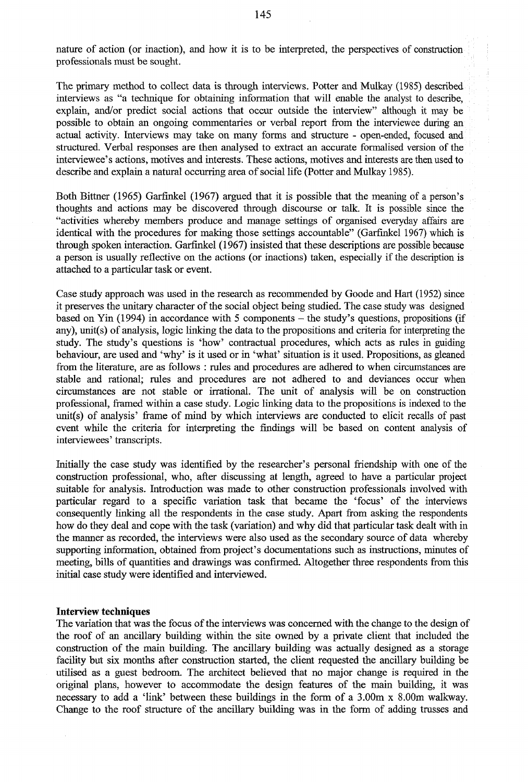nature of action (or inaction), and how it is to be interpreted, the perspectives of construction professionals must be sought.

The primary method to collect data is through interviews. Potter and Mulkay (1985) described interviews as "a technique for obtaining information that will enable the analyst to describe, explain, and/or predict social actions that occur outside the interview" although it may be possible to obtain an ongoing commentaries or verbal report from the interviewee during an actual activity. Interviews may take on many forms and structure - open-ended, focused and structured. Verbal responses are then analysed to extract an accurate formalised version of the interviewee's actions, motives and interests. These actions, motives and interests are then used to describe and explain a natural occurring area of social life (Potter and Mulkay 1985).

Both Bittner (1965) Garfinkel (1967) argued that it is possible that the meaning of a person's thoughts and actions may be discovered through discourse or talk. It is possible since the "activities whereby members produce and manage settings of organised everyday affairs are identical with the procedures for making those settings accountable" (Garfinkel 1967) which is through spoken interaction. Garfinkel (1967) insisted that these descriptions are possible because a person is usually reflective on the actions (or inactions) taken, especially if the description is attached to a particular task or event.

Case study approach was used in the research as recommended by Goode and Hart (1952) since it preserves the unitary character of the social object being studied. The case study was designed based on Yin (1994) in accordance with 5 components  $-$  the study's questions, propositions (if any), unit(s) of analysis, logic linking the data to the propositions and criteria for interpreting the study. The study's questions is 'how' contractual procedures, which acts as rules in guiding behaviour, are used and 'why' is it used or in 'what' situation is it used. Propositions, as gleaned from the literature, are as follows : rules and procedures are adhered to when circumstances are stable and rational; rules and procedures are not adhered to and deviances occur when circumstances are not stable or irrational. The unit of analysis will be on construction professional, framed within a case study. Logic linking data to the propositions is indexed to the unit(s) of analysis' frame of mind by which interviews are conducted to elicit recalls of past event while the criteria for interpreting the findings will be based on content analysis of interviewees' transcripts.

Initially the case study was identified by the researcher's personal friendship with one of the construction professional, who, after discussing at length, agreed to have a particular project suitable for analysis. Introduction was made to other construction professionals involved with particular regard to a specific variation task that became the 'focus' of the interviews consequently linking all the respondents in the case study. Apart from asking the respondents how do they deal and cope with the task (variation) and why did that particular task dealt with in the manner as recorded, the interviews were also used as the secondary source of data whereby supporting information, obtained from project's documentations such as instructions, minutes of meeting, bills of quantities and drawings was confirmed. Altogether three respondents from this initial case study were identified and interviewed.

### **Interview techniques**

The variation that was the focus of the interviews was concerned with the change to the design of the roof of an ancillary building within the site owned by a private client that included the construction of the main building. The ancillary building was actually designed as a storage facility but six months after construction started, the client requested the ancillary building be utilised as a guest bedroom. The architect believed that no major change is required in the original plans, however to accommodate the design features of the main building, it was necessary to add a 'link' between these buildings in the form of a 3.00m x 8.00m walkway. Change to the roof structure of the ancillary building was in the form of adding trusses and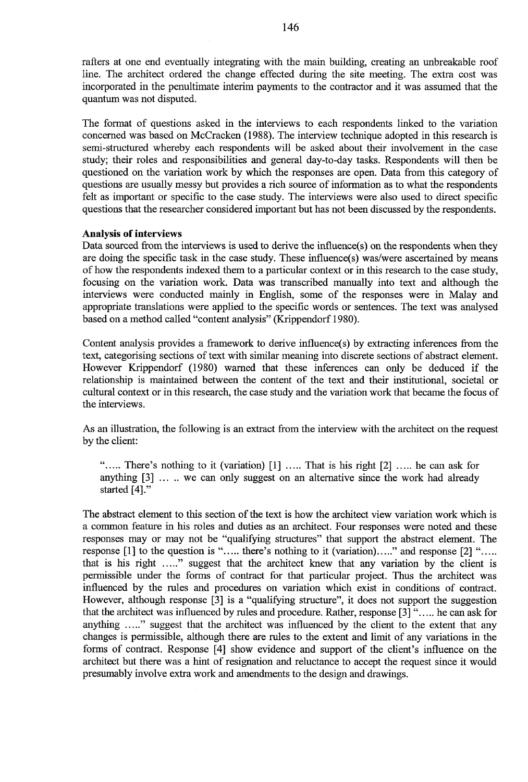rafters at one end eventually integrating with the main building, creating an unbreakable roof line. The architect ordered the change effected during the site meeting. The extra cost was incorporated in the penultimate interim payments to the contractor and it was assumed that the quantum was not disputed.

The format of questions asked in the interviews to each respondents linked to the variation concerned was based on McCracken (1988). The interview technique adopted in this research is semi-structured whereby each respondents will be asked about their involvement in the case study; their roles and responsibilities and general day-to-day tasks. Respondents will then be questioned on the variation work by which the responses are open. Data from this category of questions are usually messy but provides a rich source of information as to what the respondents felt as important or specific to the case study. The interviews were also used to direct specific questions that the researcher considered important but has not been discussed by the respondents.

### **Analysis of interviews**

Data sourced from the interviews is used to derive the influence(s) on the respondents when they are doing the specific task in the case study. These influence(s) was/were ascertained by means of how the respondents indexed them to a particular context or in this research to the case study, focusing on the variation work. Data was transcribed manually into text and although the interviews were conducted mainly in English, some of the responses were in Malay and appropriate translations were applied to the specific words or sentences. The text was analysed based on a method called "content analysis" (Krippendorf 1980).

Content analysis provides a framework to derive influence(s) by extracting inferences from the text, categorising sections of text with similar meaning into discrete sections of abstract element. However Krippendorf (1980) warned that these inferences can only be deduced if the relationship is maintained between the content of the text and their institutional, societal or cultural context or in this research, the case study and the variation work that became the focus of the interviews.

As an illustration, the following is an extract from the interview with the architect on the request by the client:

"..... There's nothing to it (variation) [1] ..... That is his right [2] ..... he can ask for anything [3] ... .. we can only suggest on an alternative since the work had already started [4]."

The abstract element to this section of the text is how the architect view variation work which is a common feature in his roles and duties as an architect. Four responses were noted and these responses may or may not be "qualifying structures" that support the abstract element. The response [1] to the question is "..... there's nothing to it (variation)....." and response [2] "..... that is his right ....." suggest that the architect knew that any variation by the client is permissible under the forms of contract for that particular project. Thus the architect was influenced by the rules and procedures on variation which exist in conditions of contract. However, although response [3] is a "qualifying structure", it does not support the suggestion that the architect was influenced by rules and procedure. Rather, response [3] "..... he can ask for anything ....." suggest that the architect was influenced by the client to the extent that any changes is permissible, although there are rules to the extent and limit of any variations in the forms of contract. Response [4] show evidence and support of the client's influence on the architect but there was a hint of resignation and reluctance to accept the request since it would presumably involve extra work and amendments to the design and drawings.